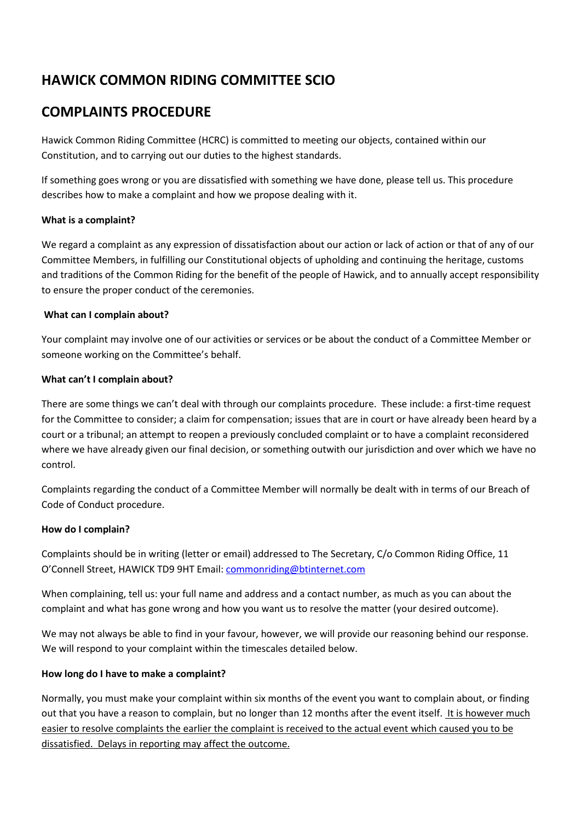# **HAWICK COMMON RIDING COMMITTEE SCIO**

# **COMPLAINTS PROCEDURE**

Hawick Common Riding Committee (HCRC) is committed to meeting our objects, contained within our Constitution, and to carrying out our duties to the highest standards.

If something goes wrong or you are dissatisfied with something we have done, please tell us. This procedure describes how to make a complaint and how we propose dealing with it.

## **What is a complaint?**

We regard a complaint as any expression of dissatisfaction about our action or lack of action or that of any of our Committee Members, in fulfilling our Constitutional objects of upholding and continuing the heritage, customs and traditions of the Common Riding for the benefit of the people of Hawick, and to annually accept responsibility to ensure the proper conduct of the ceremonies.

#### **What can I complain about?**

Your complaint may involve one of our activities or services or be about the conduct of a Committee Member or someone working on the Committee's behalf.

#### **What can't I complain about?**

There are some things we can't deal with through our complaints procedure. These include: a first-time request for the Committee to consider; a claim for compensation; issues that are in court or have already been heard by a court or a tribunal; an attempt to reopen a previously concluded complaint or to have a complaint reconsidered where we have already given our final decision, or something outwith our jurisdiction and over which we have no control.

Complaints regarding the conduct of a Committee Member will normally be dealt with in terms of our Breach of Code of Conduct procedure.

## **How do I complain?**

Complaints should be in writing (letter or email) addressed to The Secretary, C/o Common Riding Office, 11 O'Connell Street, HAWICK TD9 9HT Email[: commonriding@btinternet.com](mailto:commonriding@btinternet.com)

When complaining, tell us: your full name and address and a contact number, as much as you can about the complaint and what has gone wrong and how you want us to resolve the matter (your desired outcome).

We may not always be able to find in your favour, however, we will provide our reasoning behind our response. We will respond to your complaint within the timescales detailed below.

## **How long do I have to make a complaint?**

Normally, you must make your complaint within six months of the event you want to complain about, or finding out that you have a reason to complain, but no longer than 12 months after the event itself. It is however much easier to resolve complaints the earlier the complaint is received to the actual event which caused you to be dissatisfied. Delays in reporting may affect the outcome.